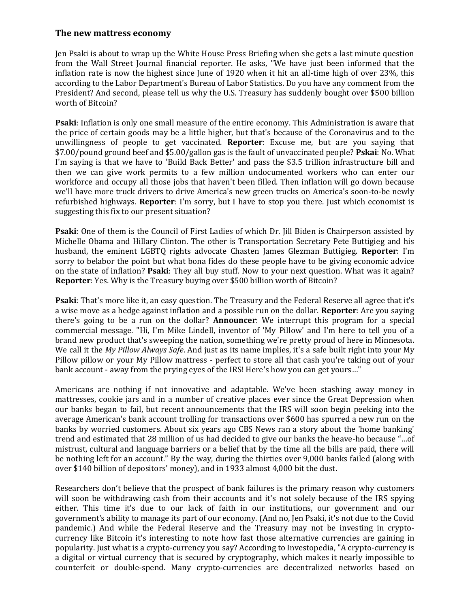## **The new mattress economy**

Jen Psaki is about to wrap up the White House Press Briefing when she gets a last minute question from the Wall Street Journal financial reporter. He asks, "We have just been informed that the inflation rate is now the highest since June of 1920 when it hit an all-time high of over 23%, this according to the Labor Department's Bureau of Labor Statistics. Do you have any comment from the President? And second, please tell us why the U.S. Treasury has suddenly bought over \$500 billion worth of Bitcoin?

**Psaki**: Inflation is only one small measure of the entire economy. This Administration is aware that the price of certain goods may be a little higher, but that's because of the Coronavirus and to the unwillingness of people to get vaccinated. **Reporter**: Excuse me, but are you saying that \$7.00/pound ground beef and \$5.00/gallon gas is the fault of unvaccinated people? **Pskai**: No. What I'm saying is that we have to 'Build Back Better' and pass the \$3.5 trillion infrastructure bill and then we can give work permits to a few million undocumented workers who can enter our workforce and occupy all those jobs that haven't been filled. Then inflation will go down because we'll have more truck drivers to drive America's new green trucks on America's soon-to-be newly refurbished highways. **Reporter**: I'm sorry, but I have to stop you there. Just which economist is suggesting this fix to our present situation?

**Psaki**: One of them is the Council of First Ladies of which Dr. Jill Biden is Chairperson assisted by Michelle Obama and Hillary Clinton. The other is Transportation Secretary Pete Buttigieg and his husband, the eminent LGBTQ rights advocate Chasten James Glezman Buttigieg. **Reporter**: I'm sorry to belabor the point but what bona fides do these people have to be giving economic advice on the state of inflation? **Psaki**: They all buy stuff. Now to your next question. What was it again? **Reporter**: Yes. Why is the Treasury buying over \$500 billion worth of Bitcoin?

**Psaki**: That's more like it, an easy question. The Treasury and the Federal Reserve all agree that it's a wise move as a hedge against inflation and a possible run on the dollar. **Reporter**: Are you saying there's going to be a run on the dollar? **Announcer**: We interrupt this program for a special commercial message. "Hi, I'm Mike Lindell, inventor of 'My Pillow' and I'm here to tell you of a brand new product that's sweeping the nation, something we're pretty proud of here in Minnesota. We call it the *My Pillow Always Safe*. And just as its name implies, it's a safe built right into your My Pillow pillow or your My Pillow mattress - perfect to store all that cash you're taking out of your bank account - away from the prying eyes of the IRS! Here's how you can get yours…"

Americans are nothing if not innovative and adaptable. We've been stashing away money in mattresses, cookie jars and in a number of creative places ever since the Great Depression when our banks began to fail, but recent announcements that the IRS will soon begin peeking into the average American's bank account trolling for transactions over \$600 has spurred a new run on the banks by worried customers. About six years ago CBS News ran a story about the 'home banking' trend and estimated that 28 million of us had decided to give our banks the heave-ho because "…of mistrust, cultural and language barriers or a belief that by the time all the bills are paid, there will be nothing left for an account." By the way, during the thirties over 9,000 banks failed (along with over \$140 billion of depositors' money), and in 1933 almost 4,000 bit the dust.

Researchers don't believe that the prospect of bank failures is the primary reason why customers will soon be withdrawing cash from their accounts and it's not solely because of the IRS spying either. This time it's due to our lack of faith in our institutions, our government and our government's ability to manage its part of our economy. (And no, Jen Psaki, it's not due to the Covid pandemic.) And while the Federal Reserve and the Treasury may not be investing in cryptocurrency like Bitcoin it's interesting to note how fast those alternative currencies are gaining in popularity. Just what is a crypto-currency you say? According to Investopedia, "A crypto-currency is a digital or virtual currency that is secured by cryptography, which makes it nearly impossible to counterfeit or double-spend. Many crypto-currencies are decentralized networks based on